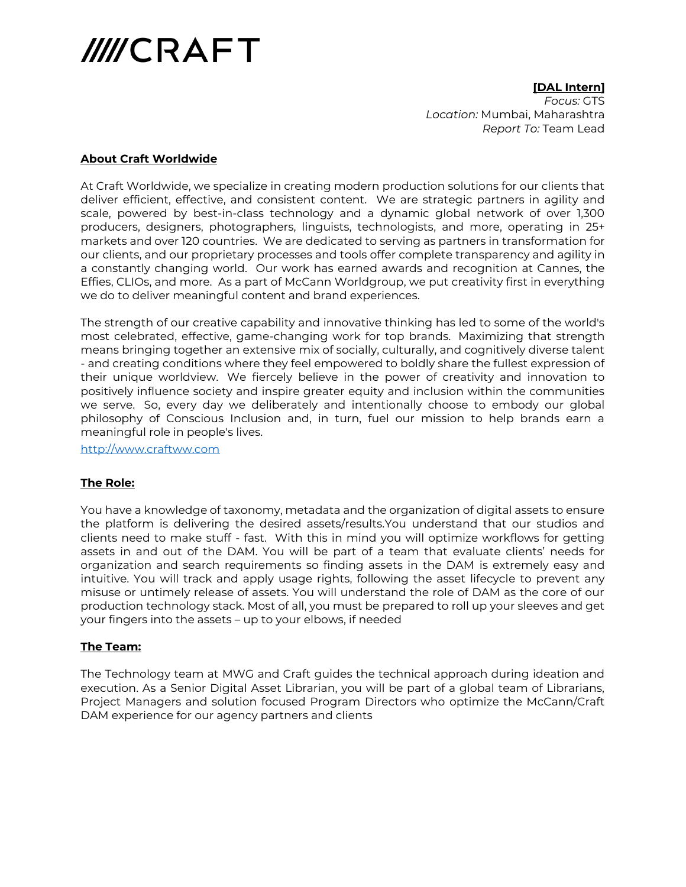

**[DAL Intern]** *Focus:* GTS *Location:* Mumbai, Maharashtra *Report To:* Team Lead

## **About Craft Worldwide**

At Craft Worldwide, we specialize in creating modern production solutions for our clients that deliver efficient, effective, and consistent content. We are strategic partners in agility and scale, powered by best-in-class technology and a dynamic global network of over 1,300 producers, designers, photographers, linguists, technologists, and more, operating in 25+ markets and over 120 countries. We are dedicated to serving as partners in transformation for our clients, and our proprietary processes and tools offer complete transparency and agility in a constantly changing world. Our work has earned awards and recognition at Cannes, the Effies, CLIOs, and more. As a part of McCann Worldgroup, we put creativity first in everything we do to deliver meaningful content and brand experiences.

The strength of our creative capability and innovative thinking has led to some of the world's most celebrated, effective, game-changing work for top brands. Maximizing that strength means bringing together an extensive mix of socially, culturally, and cognitively diverse talent - and creating conditions where they feel empowered to boldly share the fullest expression of their unique worldview. We fiercely believe in the power of creativity and innovation to positively influence society and inspire greater equity and inclusion within the communities we serve. So, every day we deliberately and intentionally choose to embody our global philosophy of Conscious Inclusion and, in turn, fuel our mission to help brands earn a meaningful role in people's lives.

[http://www.craftww.com](http://www.craftww.com/)

## **The Role:**

You have a knowledge of taxonomy, metadata and the organization of digital assets to ensure the platform is delivering the desired assets/results.You understand that our studios and clients need to make stuff - fast. With this in mind you will optimize workflows for getting assets in and out of the DAM. You will be part of a team that evaluate clients' needs for organization and search requirements so finding assets in the DAM is extremely easy and intuitive. You will track and apply usage rights, following the asset lifecycle to prevent any misuse or untimely release of assets. You will understand the role of DAM as the core of our production technology stack. Most of all, you must be prepared to roll up your sleeves and get your fingers into the assets – up to your elbows, if needed

## **The Team:**

The Technology team at MWG and Craft guides the technical approach during ideation and execution. As a Senior Digital Asset Librarian, you will be part of a global team of Librarians, Project Managers and solution focused Program Directors who optimize the McCann/Craft DAM experience for our agency partners and clients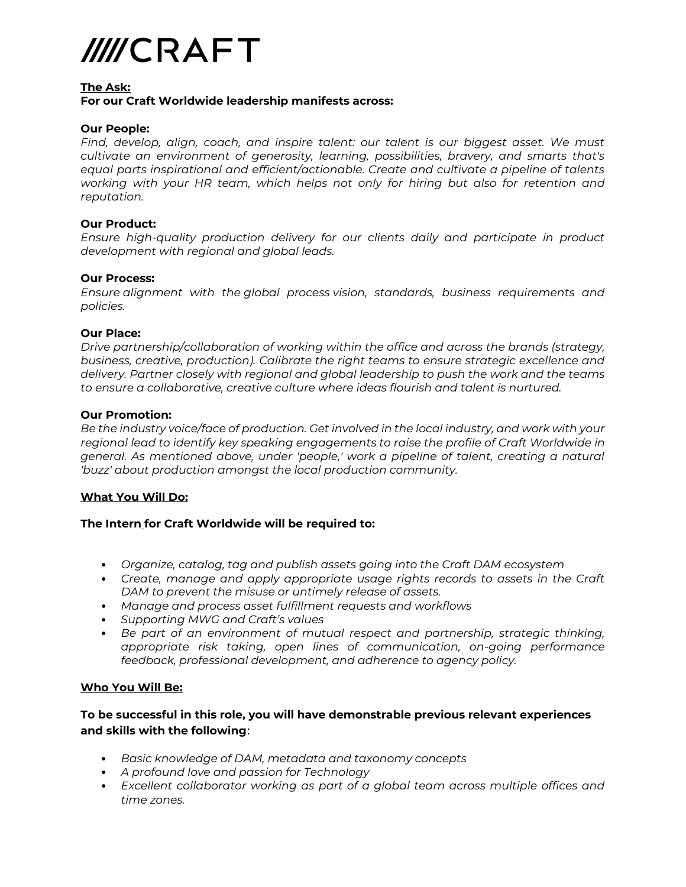

#### **The Ask:**

# **For our Craft Worldwide leadership manifests across:**

## **Our People:**

*Find, develop, align, coach, and inspire talent: our talent is our biggest asset. We must cultivate an environment of generosity, learning, possibilities, bravery, and smarts that's equal parts inspirational and efficient/actionable. Create and cultivate a pipeline of talents working with your HR team, which helps not only for hiring but also for retention and reputation.*

## **Our Product:**

*Ensure high-quality production delivery for our clients daily and participate in product development with regional and global leads.* 

#### **Our Process:**

*Ensure alignment with the global process vision, standards, business requirements and policies.*

## **Our Place:**

*Drive partnership/collaboration of working within the office and across the brands (strategy, business, creative, production). Calibrate the right teams to ensure strategic excellence and delivery. Partner closely with regional and global leadership to push the work and the teams to ensure a collaborative, creative culture where ideas flourish and talent is nurtured.*

## **Our Promotion:**

*Be the industry voice/face of production. Get involved in the local industry, and work with your regional lead to identify key speaking engagements to raise the profile of Craft Worldwide in general. As mentioned above, under 'people,' work a pipeline of talent, creating a natural 'buzz' about production amongst the local production community.*

## **What You Will Do:**

## **The Intern for Craft Worldwide will be required to:**

- *Organize, catalog, tag and publish assets going into the Craft DAM ecosystem*
- *Create, manage and apply appropriate usage rights records to assets in the Craft DAM to prevent the misuse or untimely release of assets.*
- *Manage and process asset fulfillment requests and workflows*
- *Supporting MWG and Craft's values*
- *Be part of an environment of mutual respect and partnership, strategic thinking, appropriate risk taking, open lines of communication, on-going performance feedback, professional development, and adherence to agency policy.*

## **Who You Will Be:**

# **To be successful in this role, you will have demonstrable previous relevant experiences and skills with the following**:

- *Basic knowledge of DAM, metadata and taxonomy concepts*
- *A profound love and passion for Technology*
- *Excellent collaborator working as part of a global team across multiple offices and time zones.*